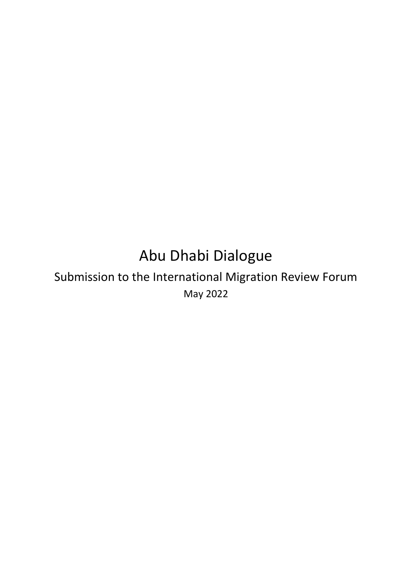# Abu Dhabi Dialogue

## Submission to the International Migration Review Forum May 2022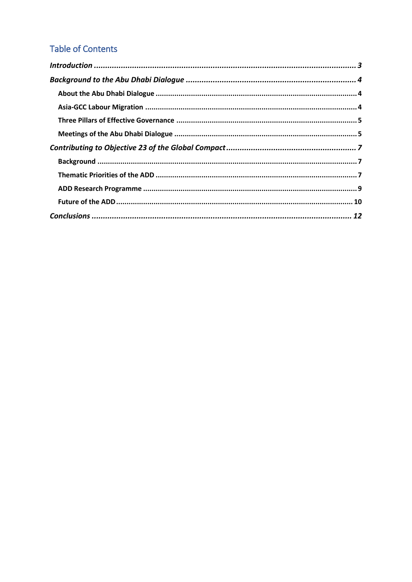## **Table of Contents**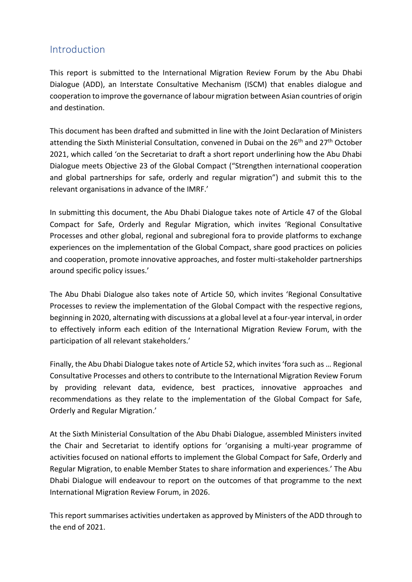## <span id="page-2-0"></span>Introduction

This report is submitted to the International Migration Review Forum by the Abu Dhabi Dialogue (ADD), an Interstate Consultative Mechanism (ISCM) that enables dialogue and cooperation to improve the governance of labour migration between Asian countries of origin and destination.

This document has been drafted and submitted in line with the Joint Declaration of Ministers attending the Sixth Ministerial Consultation, convened in Dubai on the 26<sup>th</sup> and 27<sup>th</sup> October 2021, which called 'on the Secretariat to draft a short report underlining how the Abu Dhabi Dialogue meets Objective 23 of the Global Compact ("Strengthen international cooperation and global partnerships for safe, orderly and regular migration") and submit this to the relevant organisations in advance of the IMRF.'

In submitting this document, the Abu Dhabi Dialogue takes note of Article 47 of the Global Compact for Safe, Orderly and Regular Migration, which invites 'Regional Consultative Processes and other global, regional and subregional fora to provide platforms to exchange experiences on the implementation of the Global Compact, share good practices on policies and cooperation, promote innovative approaches, and foster multi-stakeholder partnerships around specific policy issues.'

The Abu Dhabi Dialogue also takes note of Article 50, which invites 'Regional Consultative Processes to review the implementation of the Global Compact with the respective regions, beginning in 2020, alternating with discussions at a global level at a four-year interval, in order to effectively inform each edition of the International Migration Review Forum, with the participation of all relevant stakeholders.'

Finally, the Abu Dhabi Dialogue takes note of Article 52, which invites 'fora such as … Regional Consultative Processes and others to contribute to the International Migration Review Forum by providing relevant data, evidence, best practices, innovative approaches and recommendations as they relate to the implementation of the Global Compact for Safe, Orderly and Regular Migration.'

At the Sixth Ministerial Consultation of the Abu Dhabi Dialogue, assembled Ministers invited the Chair and Secretariat to identify options for 'organising a multi-year programme of activities focused on national efforts to implement the Global Compact for Safe, Orderly and Regular Migration, to enable Member States to share information and experiences.' The Abu Dhabi Dialogue will endeavour to report on the outcomes of that programme to the next International Migration Review Forum, in 2026.

This report summarises activities undertaken as approved by Ministers of the ADD through to the end of 2021.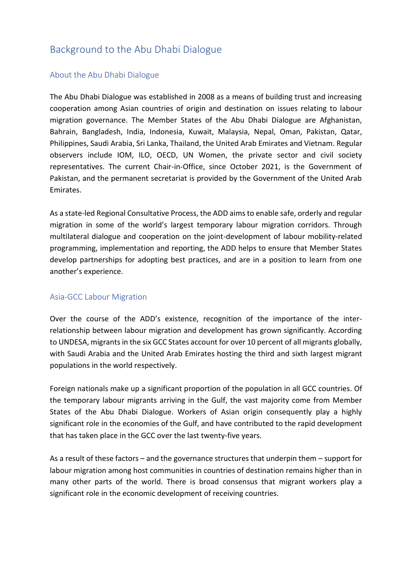## <span id="page-3-0"></span>Background to the Abu Dhabi Dialogue

#### <span id="page-3-1"></span>About the Abu Dhabi Dialogue

The Abu Dhabi Dialogue was established in 2008 as a means of building trust and increasing cooperation among Asian countries of origin and destination on issues relating to labour migration governance. The Member States of the Abu Dhabi Dialogue are Afghanistan, Bahrain, Bangladesh, India, Indonesia, Kuwait, Malaysia, Nepal, Oman, Pakistan, Qatar, Philippines, Saudi Arabia, Sri Lanka, Thailand, the United Arab Emirates and Vietnam. Regular observers include IOM, ILO, OECD, UN Women, the private sector and civil society representatives. The current Chair-in-Office, since October 2021, is the Government of Pakistan, and the permanent secretariat is provided by the Government of the United Arab Emirates.

As a state-led Regional Consultative Process, the ADD aims to enable safe, orderly and regular migration in some of the world's largest temporary labour migration corridors. Through multilateral dialogue and cooperation on the joint-development of labour mobility-related programming, implementation and reporting, the ADD helps to ensure that Member States develop partnerships for adopting best practices, and are in a position to learn from one another's experience.

#### <span id="page-3-2"></span>Asia-GCC Labour Migration

Over the course of the ADD's existence, recognition of the importance of the interrelationship between labour migration and development has grown significantly. According to UNDESA, migrants in the six GCC States account for over 10 percent of all migrants globally, with Saudi Arabia and the United Arab Emirates hosting the third and sixth largest migrant populations in the world respectively.

Foreign nationals make up a significant proportion of the population in all GCC countries. Of the temporary labour migrants arriving in the Gulf, the vast majority come from Member States of the Abu Dhabi Dialogue. Workers of Asian origin consequently play a highly significant role in the economies of the Gulf, and have contributed to the rapid development that has taken place in the GCC over the last twenty-five years.

As a result of these factors – and the governance structures that underpin them – support for labour migration among host communities in countries of destination remains higher than in many other parts of the world. There is broad consensus that migrant workers play a significant role in the economic development of receiving countries.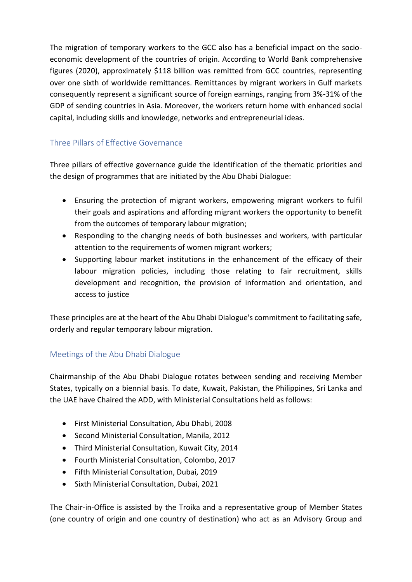The migration of temporary workers to the GCC also has a beneficial impact on the socioeconomic development of the countries of origin. According to World Bank comprehensive figures (2020), approximately \$118 billion was remitted from GCC countries, representing over one sixth of worldwide remittances. Remittances by migrant workers in Gulf markets consequently represent a significant source of foreign earnings, ranging from 3%-31% of the GDP of sending countries in Asia. Moreover, the workers return home with enhanced social capital, including skills and knowledge, networks and entrepreneurial ideas.

#### <span id="page-4-0"></span>Three Pillars of Effective Governance

Three pillars of effective governance guide the identification of the thematic priorities and the design of programmes that are initiated by the Abu Dhabi Dialogue:

- Ensuring the protection of migrant workers, empowering migrant workers to fulfil their goals and aspirations and affording migrant workers the opportunity to benefit from the outcomes of temporary labour migration;
- Responding to the changing needs of both businesses and workers, with particular attention to the requirements of women migrant workers;
- Supporting labour market institutions in the enhancement of the efficacy of their labour migration policies, including those relating to fair recruitment, skills development and recognition, the provision of information and orientation, and access to justice

These principles are at the heart of the Abu Dhabi Dialogue's commitment to facilitating safe, orderly and regular temporary labour migration.

#### <span id="page-4-1"></span>Meetings of the Abu Dhabi Dialogue

Chairmanship of the Abu Dhabi Dialogue rotates between sending and receiving Member States, typically on a biennial basis. To date, Kuwait, Pakistan, the Philippines, Sri Lanka and the UAE have Chaired the ADD, with Ministerial Consultations held as follows:

- First Ministerial Consultation, Abu Dhabi, 2008
- Second Ministerial Consultation, Manila, 2012
- Third Ministerial Consultation, Kuwait City, 2014
- Fourth Ministerial Consultation, Colombo, 2017
- Fifth Ministerial Consultation, Dubai, 2019
- Sixth Ministerial Consultation, Dubai, 2021

The Chair-in-Office is assisted by the Troika and a representative group of Member States (one country of origin and one country of destination) who act as an Advisory Group and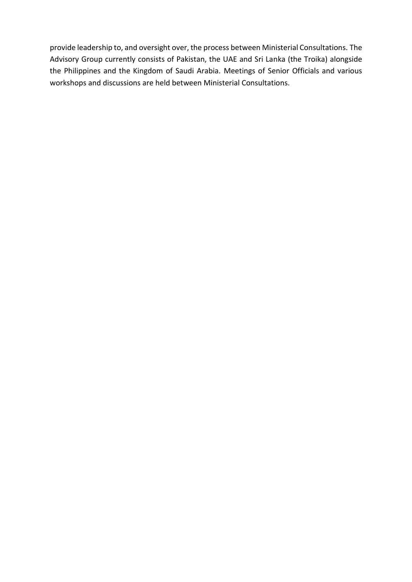provide leadership to, and oversight over, the process between Ministerial Consultations. The Advisory Group currently consists of Pakistan, the UAE and Sri Lanka (the Troika) alongside the Philippines and the Kingdom of Saudi Arabia. Meetings of Senior Officials and various workshops and discussions are held between Ministerial Consultations.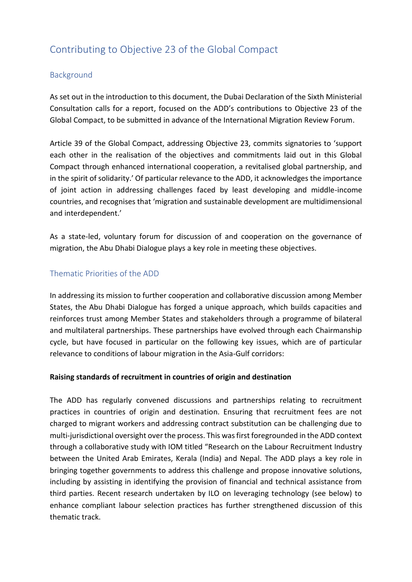## <span id="page-6-0"></span>Contributing to Objective 23 of the Global Compact

#### <span id="page-6-1"></span>Background

As set out in the introduction to this document, the Dubai Declaration of the Sixth Ministerial Consultation calls for a report, focused on the ADD's contributions to Objective 23 of the Global Compact, to be submitted in advance of the International Migration Review Forum.

Article 39 of the Global Compact, addressing Objective 23, commits signatories to 'support each other in the realisation of the objectives and commitments laid out in this Global Compact through enhanced international cooperation, a revitalised global partnership, and in the spirit of solidarity.' Of particular relevance to the ADD, it acknowledges the importance of joint action in addressing challenges faced by least developing and middle-income countries, and recognises that 'migration and sustainable development are multidimensional and interdependent.'

As a state-led, voluntary forum for discussion of and cooperation on the governance of migration, the Abu Dhabi Dialogue plays a key role in meeting these objectives.

#### <span id="page-6-2"></span>Thematic Priorities of the ADD

In addressing its mission to further cooperation and collaborative discussion among Member States, the Abu Dhabi Dialogue has forged a unique approach, which builds capacities and reinforces trust among Member States and stakeholders through a programme of bilateral and multilateral partnerships. These partnerships have evolved through each Chairmanship cycle, but have focused in particular on the following key issues, which are of particular relevance to conditions of labour migration in the Asia-Gulf corridors:

#### **Raising standards of recruitment in countries of origin and destination**

The ADD has regularly convened discussions and partnerships relating to recruitment practices in countries of origin and destination. Ensuring that recruitment fees are not charged to migrant workers and addressing contract substitution can be challenging due to multi-jurisdictional oversight over the process. This was first foregrounded in the ADD context through a collaborative study with IOM titled "Research on the Labour Recruitment Industry between the United Arab Emirates, Kerala (India) and Nepal. The ADD plays a key role in bringing together governments to address this challenge and propose innovative solutions, including by assisting in identifying the provision of financial and technical assistance from third parties. Recent research undertaken by ILO on leveraging technology (see below) to enhance compliant labour selection practices has further strengthened discussion of this thematic track.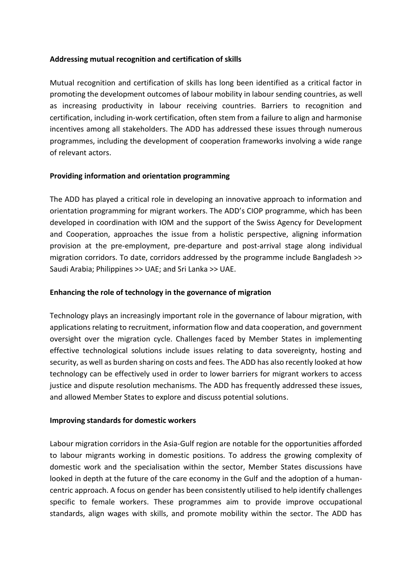#### **Addressing mutual recognition and certification of skills**

Mutual recognition and certification of skills has long been identified as a critical factor in promoting the development outcomes of labour mobility in labour sending countries, as well as increasing productivity in labour receiving countries. Barriers to recognition and certification, including in-work certification, often stem from a failure to align and harmonise incentives among all stakeholders. The ADD has addressed these issues through numerous programmes, including the development of cooperation frameworks involving a wide range of relevant actors.

#### **Providing information and orientation programming**

The ADD has played a critical role in developing an innovative approach to information and orientation programming for migrant workers. The ADD's CIOP programme, which has been developed in coordination with IOM and the support of the Swiss Agency for Development and Cooperation, approaches the issue from a holistic perspective, aligning information provision at the pre-employment, pre-departure and post-arrival stage along individual migration corridors. To date, corridors addressed by the programme include Bangladesh >> Saudi Arabia; Philippines >> UAE; and Sri Lanka >> UAE.

#### **Enhancing the role of technology in the governance of migration**

Technology plays an increasingly important role in the governance of labour migration, with applications relating to recruitment, information flow and data cooperation, and government oversight over the migration cycle. Challenges faced by Member States in implementing effective technological solutions include issues relating to data sovereignty, hosting and security, as well as burden sharing on costs and fees. The ADD has also recently looked at how technology can be effectively used in order to lower barriers for migrant workers to access justice and dispute resolution mechanisms. The ADD has frequently addressed these issues, and allowed Member States to explore and discuss potential solutions.

#### **Improving standards for domestic workers**

Labour migration corridors in the Asia-Gulf region are notable for the opportunities afforded to labour migrants working in domestic positions. To address the growing complexity of domestic work and the specialisation within the sector, Member States discussions have looked in depth at the future of the care economy in the Gulf and the adoption of a humancentric approach. A focus on gender has been consistently utilised to help identify challenges specific to female workers. These programmes aim to provide improve occupational standards, align wages with skills, and promote mobility within the sector. The ADD has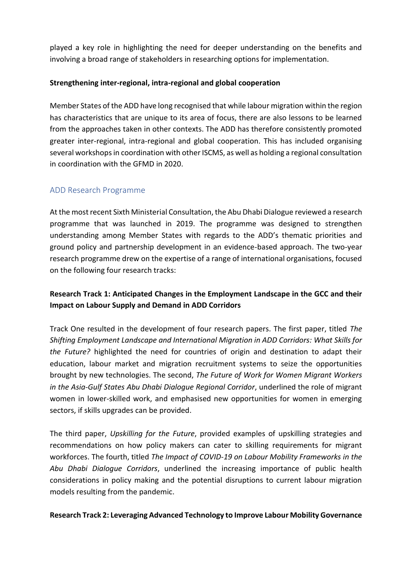played a key role in highlighting the need for deeper understanding on the benefits and involving a broad range of stakeholders in researching options for implementation.

#### **Strengthening inter-regional, intra-regional and global cooperation**

Member States of the ADD have long recognised that while labour migration within the region has characteristics that are unique to its area of focus, there are also lessons to be learned from the approaches taken in other contexts. The ADD has therefore consistently promoted greater inter-regional, intra-regional and global cooperation. This has included organising several workshops in coordination with other ISCMS, as well as holding a regional consultation in coordination with the GFMD in 2020.

#### <span id="page-8-0"></span>ADD Research Programme

At the most recent Sixth Ministerial Consultation, the Abu Dhabi Dialogue reviewed a research programme that was launched in 2019. The programme was designed to strengthen understanding among Member States with regards to the ADD's thematic priorities and ground policy and partnership development in an evidence-based approach. The two-year research programme drew on the expertise of a range of international organisations, focused on the following four research tracks:

#### **Research Track 1: Anticipated Changes in the Employment Landscape in the GCC and their Impact on Labour Supply and Demand in ADD Corridors**

Track One resulted in the development of four research papers. The first paper, titled *The Shifting Employment Landscape and International Migration in ADD Corridors: What Skills for the Future?* highlighted the need for countries of origin and destination to adapt their education, labour market and migration recruitment systems to seize the opportunities brought by new technologies. The second, *The Future of Work for Women Migrant Workers in the Asia-Gulf States Abu Dhabi Dialogue Regional Corridor*, underlined the role of migrant women in lower-skilled work, and emphasised new opportunities for women in emerging sectors, if skills upgrades can be provided.

The third paper, *Upskilling for the Future*, provided examples of upskilling strategies and recommendations on how policy makers can cater to skilling requirements for migrant workforces. The fourth, titled *The Impact of COVID-19 on Labour Mobility Frameworks in the Abu Dhabi Dialogue Corridors*, underlined the increasing importance of public health considerations in policy making and the potential disruptions to current labour migration models resulting from the pandemic.

#### **Research Track 2: Leveraging Advanced Technology to Improve Labour Mobility Governance**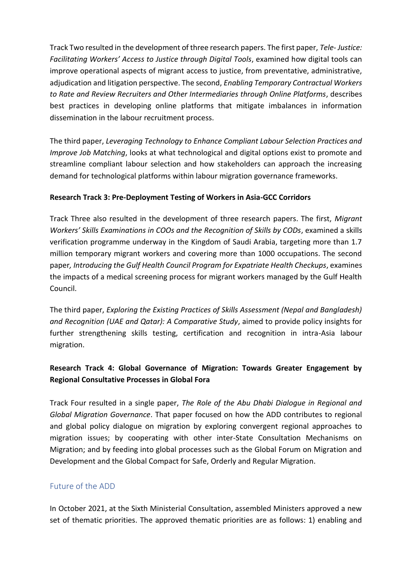Track Two resulted in the development of three research papers. The first paper, *Tele- Justice: Facilitating Workers' Access to Justice through Digital Tools*, examined how digital tools can improve operational aspects of migrant access to justice, from preventative, administrative, adjudication and litigation perspective. The second, *Enabling Temporary Contractual Workers to Rate and Review Recruiters and Other Intermediaries through Online Platforms*, describes best practices in developing online platforms that mitigate imbalances in information dissemination in the labour recruitment process.

The third paper, *Leveraging Technology to Enhance Compliant Labour Selection Practices and Improve Job Matching*, looks at what technological and digital options exist to promote and streamline compliant labour selection and how stakeholders can approach the increasing demand for technological platforms within labour migration governance frameworks.

#### **Research Track 3: Pre-Deployment Testing of Workers in Asia-GCC Corridors**

Track Three also resulted in the development of three research papers. The first, *Migrant Workers' Skills Examinations in COOs and the Recognition of Skills by CODs*, examined a skills verification programme underway in the Kingdom of Saudi Arabia, targeting more than 1.7 million temporary migrant workers and covering more than 1000 occupations. The second paper*, Introducing the Gulf Health Council Program for Expatriate Health Checkups*, examines the impacts of a medical screening process for migrant workers managed by the Gulf Health Council.

The third paper, *Exploring the Existing Practices of Skills Assessment (Nepal and Bangladesh) and Recognition (UAE and Qatar): A Comparative Study*, aimed to provide policy insights for further strengthening skills testing, certification and recognition in intra-Asia labour migration.

## **Research Track 4: Global Governance of Migration: Towards Greater Engagement by Regional Consultative Processes in Global Fora**

Track Four resulted in a single paper, *The Role of the Abu Dhabi Dialogue in Regional and Global Migration Governance*. That paper focused on how the ADD contributes to regional and global policy dialogue on migration by exploring convergent regional approaches to migration issues; by cooperating with other inter-State Consultation Mechanisms on Migration; and by feeding into global processes such as the Global Forum on Migration and Development and the Global Compact for Safe, Orderly and Regular Migration.

## <span id="page-9-0"></span>Future of the ADD

In October 2021, at the Sixth Ministerial Consultation, assembled Ministers approved a new set of thematic priorities. The approved thematic priorities are as follows: 1) enabling and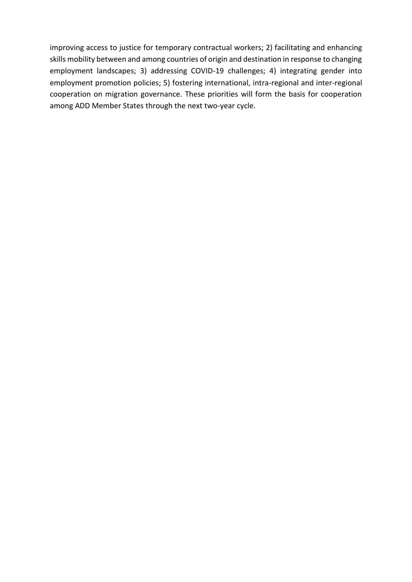improving access to justice for temporary contractual workers; 2) facilitating and enhancing skills mobility between and among countries of origin and destination in response to changing employment landscapes; 3) addressing COVID-19 challenges; 4) integrating gender into employment promotion policies; 5) fostering international, intra-regional and inter-regional cooperation on migration governance. These priorities will form the basis for cooperation among ADD Member States through the next two-year cycle.